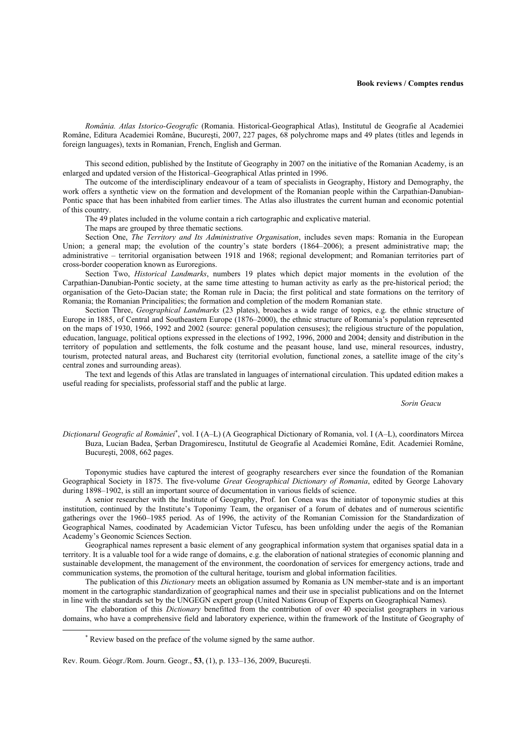*România. Atlas Istorico-Geografic* (Romania. Historical-Geographical Atlas), Institutul de Geografie al Academiei Române, Editura Academiei Române, Bucureşti, 2007, 227 pages, 68 polychrome maps and 49 plates (titles and legends in foreign languages), texts in Romanian, French, English and German.

This second edition, published by the Institute of Geography in 2007 on the initiative of the Romanian Academy, is an enlarged and updated version of the Historical–Geographical Atlas printed in 1996.

The outcome of the interdisciplinary endeavour of a team of specialists in Geography, History and Demography, the work offers a synthetic view on the formation and development of the Romanian people within the Carpathian-Danubian-Pontic space that has been inhabited from earlier times. The Atlas also illustrates the current human and economic potential of this country.

The 49 plates included in the volume contain a rich cartographic and explicative material.

The maps are grouped by three thematic sections.

Section One, *The Territory and Its Administrative Organisation*, includes seven maps: Romania in the European Union; a general map; the evolution of the country's state borders (1864–2006); a present administrative map; the administrative – territorial organisation between 1918 and 1968; regional development; and Romanian territories part of cross-border cooperation known as Euroregions.

Section Two, *Historical Landmarks*, numbers 19 plates which depict major moments in the evolution of the Carpathian-Danubian-Pontic society, at the same time attesting to human activity as early as the pre-historical period; the organisation of the Geto-Dacian state; the Roman rule in Dacia; the first political and state formations on the territory of Romania; the Romanian Principalities; the formation and completion of the modern Romanian state.

Section Three, *Geographical Landmarks* (23 plates), broaches a wide range of topics, e.g. the ethnic structure of Europe in 1885, of Central and Southeastern Europe (1876–2000), the ethnic structure of Romania's population represented on the maps of 1930, 1966, 1992 and 2002 (source: general population censuses); the religious structure of the population, education, language, political options expressed in the elections of 1992, 1996, 2000 and 2004; density and distribution in the territory of population and settlements, the folk costume and the peasant house, land use, mineral resources, industry, tourism, protected natural areas, and Bucharest city (territorial evolution, functional zones, a satellite image of the city's central zones and surrounding areas).

The text and legends of this Atlas are translated in languages of international circulation. This updated edition makes a useful reading for specialists, professorial staff and the public at large.

*Sorin Geacu*

*Dicţionarul Geografic al României*<sup>∗</sup> , vol. I (A–L) (A Geographical Dictionary of Romania, vol. I (A–L), coordinators Mircea Buza, Lucian Badea, Şerban Dragomirescu, Institutul de Geografie al Academiei Române, Edit. Academiei Române, Bucureşti, 2008, 662 pages.

Toponymic studies have captured the interest of geography researchers ever since the foundation of the Romanian Geographical Society in 1875. The five-volume *Great Geographical Dictionary of Romania*, edited by George Lahovary during 1898–1902, is still an important source of documentation in various fields of science.

A senior researcher with the Institute of Geography, Prof. Ion Conea was the initiator of toponymic studies at this institution, continued by the Institute's Toponimy Team, the organiser of a forum of debates and of numerous scientific gatherings over the 1960–1985 period. As of 1996, the activity of the Romanian Comission for the Standardization of Geographical Names, coodinated by Academician Victor Tufescu, has been unfolding under the aegis of the Romanian Academy's Geonomic Sciences Section.

Geographical names represent a basic element of any geographical information system that organises spatial data in a territory. It is a valuable tool for a wide range of domains, e.g. the elaboration of national strategies of economic planning and sustainable development, the management of the environment, the coordonation of services for emergency actions, trade and communication systems, the promotion of the cultural heritage, tourism and global information facilities.

The publication of this *Dictionary* meets an obligation assumed by Romania as UN member-state and is an important moment in the cartographic standardization of geographical names and their use in specialist publications and on the Internet in line with the standards set by the UNGEGN expert group (United Nations Group of Experts on Geographical Names).

The elaboration of this *Dictionary* benefitted from the contribution of over 40 specialist geographers in various domains, who have a comprehensive field and laboratory experience, within the framework of the Institute of Geography of

l

<sup>∗</sup> Review based on the preface of the volume signed by the same author.

Rev. Roum. Géogr./Rom. Journ. Geogr., **53**, (1), p. 133–136, 2009, Bucureşti.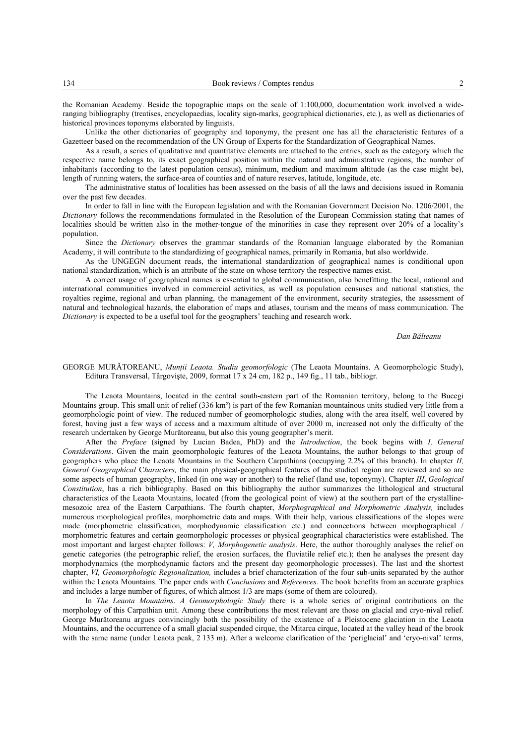the Romanian Academy. Beside the topographic maps on the scale of 1:100,000, documentation work involved a wideranging bibliography (treatises, encyclopaedias, locality sign-marks, geographical dictionaries, etc.), as well as dictionaries of historical provinces toponyms elaborated by linguists.

Unlike the other dictionaries of geography and toponymy, the present one has all the characteristic features of a Gazetteer based on the recommendation of the UN Group of Experts for the Standardization of Geographical Names.

As a result, a series of qualitative and quantitative elements are attached to the entries, such as the category which the respective name belongs to, its exact geographical position within the natural and administrative regions, the number of inhabitants (according to the latest population census), minimum, medium and maximum altitude (as the case might be), length of running waters, the surface-area of counties and of nature reserves, latitude, longitude, etc.

The administrative status of localities has been assessed on the basis of all the laws and decisions issued in Romania over the past few decades.

In order to fall in line with the European legislation and with the Romanian Government Decision No. 1206/2001, the *Dictionary* follows the recommendations formulated in the Resolution of the European Commission stating that names of localities should be written also in the mother-tongue of the minorities in case they represent over 20% of a locality's population.

Since the *Dictionary* observes the grammar standards of the Romanian language elaborated by the Romanian Academy, it will contribute to the standardizing of geographical names, primarily in Romania, but also worldwide.

As the UNGEGN document reads, the international standardization of geographical names is conditional upon national standardization, which is an attribute of the state on whose territory the respective names exist.

A correct usage of geographical names is essential to global communication, also benefitting the local, national and international communities involved in commercial activities, as well as population censuses and national statistics, the royalties regime, regional and urban planning, the management of the environment, security strategies, the assessment of natural and technological hazards, the elaboration of maps and atlases, tourism and the means of mass communication. The *Dictionary* is expected to be a useful tool for the geographers' teaching and research work.

## *Dan Bălteanu*

## GEORGE MURĂTOREANU, *Muntii Leaota. Studiu geomorfologic* (The Leaota Mountains. A Geomorphologic Study), Editura Transversal, Târgovişte, 2009, format 17 x 24 cm, 182 p., 149 fig., 11 tab., bibliogr.

The Leaota Mountains, located in the central south-eastern part of the Romanian territory, belong to the Bucegi Mountains group. This small unit of relief (336 km²) is part of the few Romanian mountainous units studied very little from a geomorphologic point of view. The reduced number of geomorphologic studies, along with the area itself, well covered by forest, having just a few ways of access and a maximum altitude of over 2000 m, increased not only the difficulty of the research undertaken by George Murătoreanu, but also this young geographer's merit.

After the *Preface* (signed by Lucian Badea, PhD) and the *Introduction*, the book begins with *I, General Considerations*. Given the main geomorphologic features of the Leaota Mountains, the author belongs to that group of geographers who place the Leaota Mountains in the Southern Carpathians (occupying 2.2% of this branch). In chapter *II, General Geographical* C*haracters,* the main physical-geographical features of the studied region are reviewed and so are some aspects of human geography, linked (in one way or another) to the relief (land use, toponymy). Chapter *III*, *Geological Constitution*, has a rich bibliography. Based on this bibliography the author summarizes the lithological and structural characteristics of the Leaota Mountains, located (from the geological point of view) at the southern part of the crystallinemesozoic area of the Eastern Carpathians. The fourth chapter, *Morphographical and Morphometric Analysis,* includes numerous morphological profiles, morphometric data and maps. With their help, various classifications of the slopes were made (morphometric classification, morphodynamic classification etc.) and connections between morphographical morphometric features and certain geomorphologic processes or physical geographical characteristics were established. The most important and largest chapter follows: *V, Morphogenetic analysis*. Here, the author thoroughly analyses the relief on genetic categories (the petrographic relief, the erosion surfaces, the fluviatile relief etc.); then he analyses the present day morphodynamics (the morphodynamic factors and the present day geomorphologic processes). The last and the shortest chapter, *VI, Geomorphologic Regionalization,* includes a brief characterization of the four sub-units separated by the author within the Leaota Mountains. The paper ends with *Conclusions* and *References*. The book benefits from an accurate graphics and includes a large number of figures, of which almost 1/3 are maps (some of them are coloured).

In *The Leaota Mountains*. *A Geomorphologic Study* there is a whole series of original contributions on the morphology of this Carpathian unit. Among these contributions the most relevant are those on glacial and cryo-nival relief. George Murătoreanu argues convincingly both the possibility of the existence of a Pleistocene glaciation in the Leaota Mountains, and the occurrence of a small glacial suspended cirque, the Mitarca cirque, located at the valley head of the brook with the same name (under Leaota peak, 2 133 m). After a welcome clarification of the 'periglacial' and 'cryo-nival' terms,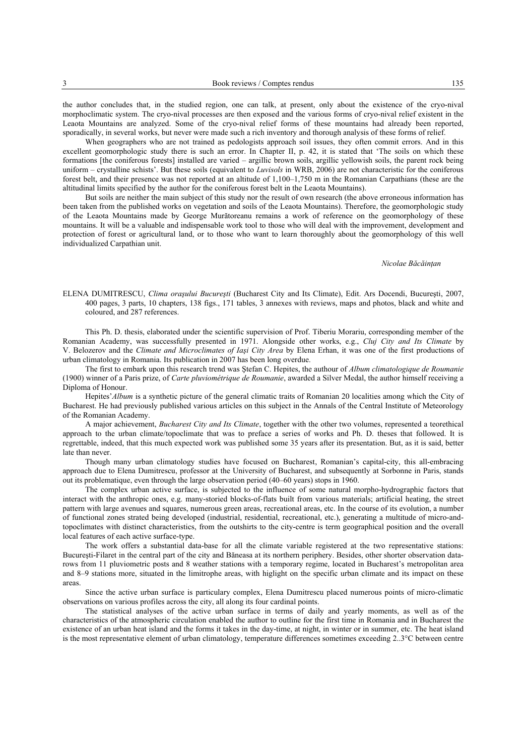the author concludes that, in the studied region, one can talk, at present, only about the existence of the cryo-nival morphoclimatic system. The cryo-nival processes are then exposed and the various forms of cryo-nival relief existent in the Leaota Mountains are analyzed. Some of the cryo-nival relief forms of these mountains had already been reported, sporadically, in several works, but never were made such a rich inventory and thorough analysis of these forms of relief.

When geographers who are not trained as pedologists approach soil issues, they often commit errors. And in this excellent geomorphologic study there is such an error. In Chapter II, p. 42, it is stated that 'The soils on which these formations [the coniferous forests] installed are varied – argillic brown soils, argillic yellowish soils, the parent rock being uniform – crystalline schists'. But these soils (equivalent to *Luvisols* in WRB, 2006) are not characteristic for the coniferous forest belt, and their presence was not reported at an altitude of 1,100–1,750 m in the Romanian Carpathians (these are the altitudinal limits specified by the author for the coniferous forest belt in the Leaota Mountains).

But soils are neither the main subject of this study nor the result of own research (the above erroneous information has been taken from the published works on vegetation and soils of the Leaota Mountains). Therefore, the geomorphologic study of the Leaota Mountains made by George Murătoreanu remains a work of reference on the geomorphology of these mountains. It will be a valuable and indispensable work tool to those who will deal with the improvement, development and protection of forest or agricultural land, or to those who want to learn thoroughly about the geomorphology of this well individualized Carpathian unit.

## *Nicolae Băcăinţan*

ELENA DUMITRESCU, *Clima oraşului Bucureşti* (Bucharest City and Its Climate), Edit. Ars Docendi, Bucureşti, 2007, 400 pages, 3 parts, 10 chapters, 138 figs., 171 tables, 3 annexes with reviews, maps and photos, black and white and coloured, and 287 references.

This Ph. D. thesis, elaborated under the scientific supervision of Prof. Tiberiu Morariu, corresponding member of the Romanian Academy, was successfully presented in 1971. Alongside other works, e.g., *Cluj City and Its Climate* by V. Belozerov and the *Climate and Microclimates of Iaşi City Area* by Elena Erhan, it was one of the first productions of urban climatology in Romania. Its publication in 2007 has been long overdue.

The first to embark upon this research trend was Ştefan C. Hepites, the authour of *Album climatologique de Roumanie* (1900) winner of a Paris prize, of *Carte pluviométrique de Roumanie*, awarded a Silver Medal, the author himself receiving a Diploma of Honour.

Hepites'*Album* is a synthetic picture of the general climatic traits of Romanian 20 localities among which the City of Bucharest. He had previously published various articles on this subject in the Annals of the Central Institute of Meteorology of the Romanian Academy.

A major achievement, *Bucharest City and Its Climate*, together with the other two volumes, represented a teorethical approach to the urban climate/topoclimate that was to preface a series of works and Ph. D. theses that followed. It is regrettable, indeed, that this much expected work was published some 35 years after its presentation. But, as it is said, better late than never.

Though many urban climatology studies have focused on Bucharest, Romanian's capital-city, this all-embracing approach due to Elena Dumitrescu, professor at the University of Bucharest, and subsequently at Sorbonne in Paris, stands out its problematique, even through the large observation period (40–60 years) stops in 1960.

The complex urban active surface, is subjected to the influence of some natural morpho-hydrographic factors that interact with the anthropic ones, e.g. many-storied blocks-of-flats built from various materials; artificial heating, the street pattern with large avenues and squares, numerous green areas, recreational areas, etc. In the course of its evolution, a number of functional zones strated being developed (industrial, residential, recreational, etc.), generating a multitude of micro-andtopoclimates with distinct characteristics, from the outshirts to the city-centre is term geographical position and the overall local features of each active surface-type.

The work offers a substantial data-base for all the climate variable registered at the two representative stations: Bucureşti-Filaret in the central part of the city and Băneasa at its northern periphery. Besides, other shorter observation datarows from 11 pluviometric posts and 8 weather stations with a temporary regime, located in Bucharest's metropolitan area and 8–9 stations more, situated in the limitrophe areas, with higlight on the specific urban climate and its impact on these areas.

Since the active urban surface is particulary complex, Elena Dumitrescu placed numerous points of micro-climatic observations on various profiles across the city, all along its four cardinal points.

The statistical analyses of the active urban surface in terms of daily and yearly moments, as well as of the characteristics of the atmospheric circulation enabled the author to outline for the first time in Romania and in Bucharest the existence of an urban heat island and the forms it takes in the day-time, at night, in winter or in summer, etc. The heat island is the most representative element of urban climatology, temperature differences sometimes exceeding 2..3°C between centre